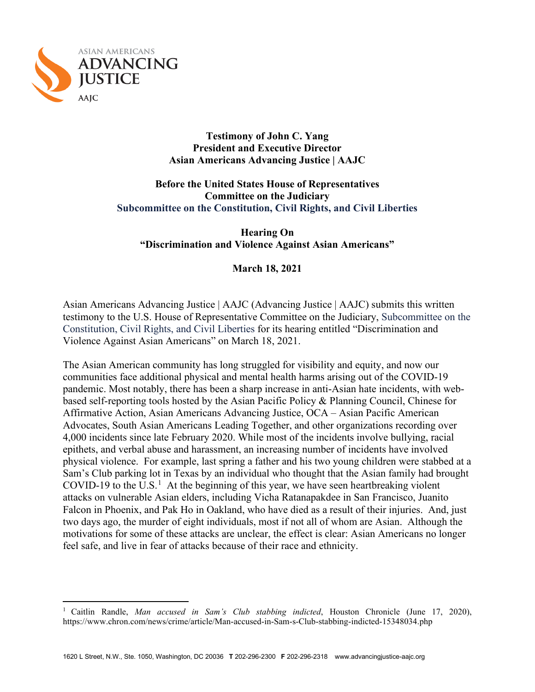

#### **Testimony of John C. Yang President and Executive Director Asian Americans Advancing Justice | AAJC**

## **Before the United States House of Representatives Committee on the Judiciary Subcommittee on the Constitution, Civil Rights, and Civil Liberties**

**Hearing On "Discrimination and Violence Against Asian Americans"**

## **March 18, 2021**

Asian Americans Advancing Justice | AAJC (Advancing Justice | AAJC) submits this written testimony to the U.S. House of Representative Committee on the Judiciary, Subcommittee on the Constitution, Civil Rights, and Civil Liberties for its hearing entitled "Discrimination and Violence Against Asian Americans" on March 18, 2021.

The Asian American community has long struggled for visibility and equity, and now our communities face additional physical and mental health harms arising out of the COVID-19 pandemic. Most notably, there has been a sharp increase in anti-Asian hate incidents, with webbased self-reporting tools hosted by the Asian Pacific Policy & Planning Council, Chinese for Affirmative Action, Asian Americans Advancing Justice, OCA – Asian Pacific American Advocates, South Asian Americans Leading Together, and other organizations recording over 4,000 incidents since late February 2020. While most of the incidents involve bullying, racial epithets, and verbal abuse and harassment, an increasing number of incidents have involved physical violence. For example, last spring a father and his two young children were stabbed at a Sam's Club parking lot in Texas by an individual who thought that the Asian family had brought COVID-[1](#page-0-0)9 to the U.S.<sup>1</sup> At the beginning of this year, we have seen heartbreaking violent attacks on vulnerable Asian elders, including Vicha Ratanapakdee in San Francisco, Juanito Falcon in Phoenix, and Pak Ho in Oakland, who have died as a result of their injuries. And, just two days ago, the murder of eight individuals, most if not all of whom are Asian. Although the motivations for some of these attacks are unclear, the effect is clear: Asian Americans no longer feel safe, and live in fear of attacks because of their race and ethnicity.

<span id="page-0-0"></span><sup>1</sup> Caitlin Randle, *Man accused in Sam's Club stabbing indicted*, Houston Chronicle (June 17, 2020), https://www.chron.com/news/crime/article/Man-accused-in-Sam-s-Club-stabbing-indicted-15348034.php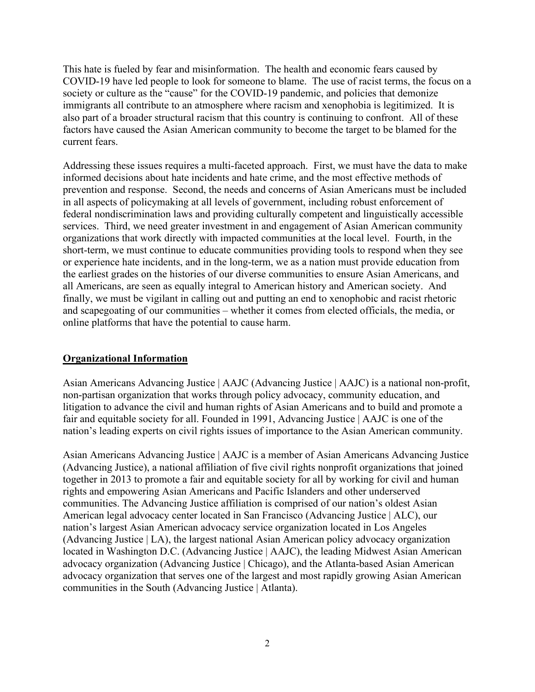This hate is fueled by fear and misinformation. The health and economic fears caused by COVID-19 have led people to look for someone to blame. The use of racist terms, the focus on a society or culture as the "cause" for the COVID-19 pandemic, and policies that demonize immigrants all contribute to an atmosphere where racism and xenophobia is legitimized. It is also part of a broader structural racism that this country is continuing to confront. All of these factors have caused the Asian American community to become the target to be blamed for the current fears.

Addressing these issues requires a multi-faceted approach. First, we must have the data to make informed decisions about hate incidents and hate crime, and the most effective methods of prevention and response. Second, the needs and concerns of Asian Americans must be included in all aspects of policymaking at all levels of government, including robust enforcement of federal nondiscrimination laws and providing culturally competent and linguistically accessible services. Third, we need greater investment in and engagement of Asian American community organizations that work directly with impacted communities at the local level. Fourth, in the short-term, we must continue to educate communities providing tools to respond when they see or experience hate incidents, and in the long-term, we as a nation must provide education from the earliest grades on the histories of our diverse communities to ensure Asian Americans, and all Americans, are seen as equally integral to American history and American society. And finally, we must be vigilant in calling out and putting an end to xenophobic and racist rhetoric and scapegoating of our communities – whether it comes from elected officials, the media, or online platforms that have the potential to cause harm.

#### **Organizational Information**

Asian Americans Advancing Justice | AAJC (Advancing Justice | AAJC) is a national non-profit, non-partisan organization that works through policy advocacy, community education, and litigation to advance the civil and human rights of Asian Americans and to build and promote a fair and equitable society for all. Founded in 1991, Advancing Justice | AAJC is one of the nation's leading experts on civil rights issues of importance to the Asian American community.

Asian Americans Advancing Justice | AAJC is a member of Asian Americans Advancing Justice (Advancing Justice), a national affiliation of five civil rights nonprofit organizations that joined together in 2013 to promote a fair and equitable society for all by working for civil and human rights and empowering Asian Americans and Pacific Islanders and other underserved communities. The Advancing Justice affiliation is comprised of our nation's oldest Asian American legal advocacy center located in San Francisco (Advancing Justice | ALC), our nation's largest Asian American advocacy service organization located in Los Angeles (Advancing Justice | LA), the largest national Asian American policy advocacy organization located in Washington D.C. (Advancing Justice | AAJC), the leading Midwest Asian American advocacy organization (Advancing Justice | Chicago), and the Atlanta-based Asian American advocacy organization that serves one of the largest and most rapidly growing Asian American communities in the South (Advancing Justice | Atlanta).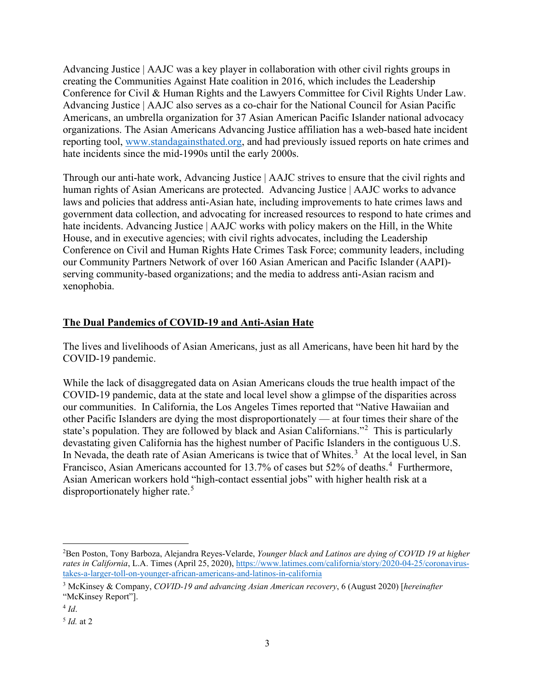Advancing Justice | AAJC was a key player in collaboration with other civil rights groups in creating the Communities Against Hate coalition in 2016, which includes the Leadership Conference for Civil & Human Rights and the Lawyers Committee for Civil Rights Under Law. Advancing Justice | AAJC also serves as a co-chair for the National Council for Asian Pacific Americans, an umbrella organization for 37 Asian American Pacific Islander national advocacy organizations. The Asian Americans Advancing Justice affiliation has a web-based hate incident reporting tool, [www.standagainsthated.org,](http://www.standagainsthated.org/) and had previously issued reports on hate crimes and hate incidents since the mid-1990s until the early 2000s.

Through our anti-hate work, Advancing Justice | AAJC strives to ensure that the civil rights and human rights of Asian Americans are protected. Advancing Justice | AAJC works to advance laws and policies that address anti-Asian hate, including improvements to hate crimes laws and government data collection, and advocating for increased resources to respond to hate crimes and hate incidents. Advancing Justice | AAJC works with policy makers on the Hill, in the White House, and in executive agencies; with civil rights advocates, including the Leadership Conference on Civil and Human Rights Hate Crimes Task Force; community leaders, including our Community Partners Network of over 160 Asian American and Pacific Islander (AAPI) serving community-based organizations; and the media to address anti-Asian racism and xenophobia.

## **The Dual Pandemics of COVID-19 and Anti-Asian Hate**

The lives and livelihoods of Asian Americans, just as all Americans, have been hit hard by the COVID-19 pandemic.

While the lack of disaggregated data on Asian Americans clouds the true health impact of the COVID-19 pandemic, data at the state and local level show a glimpse of the disparities across our communities. In California, the Los Angeles Times reported that "Native Hawaiian and other Pacific Islanders are dying the most disproportionately — at four times their share of the state's population. They are followed by black and Asian Californians."<sup>[2](#page-2-0)</sup> This is particularly devastating given California has the highest number of Pacific Islanders in the contiguous U.S. In Nevada, the death rate of Asian Americans is twice that of Whites.<sup>[3](#page-2-1)</sup> At the local level, in San Francisco, Asian Americans accounted for 13.7% of cases but 52% of deaths.<sup>[4](#page-2-2)</sup> Furthermore, Asian American workers hold "high-contact essential jobs" with higher health risk at a disproportionately higher rate.<sup>[5](#page-2-3)</sup>

<span id="page-2-0"></span><sup>2</sup> Ben Poston, Tony Barboza, Alejandra Reyes-Velarde, *Younger black and Latinos are dying of COVID 19 at higher rates in California*, L.A. Times (April 25, 2020), [https://www.latimes.com/california/story/2020-04-25/coronavirus](https://www.latimes.com/california/story/2020-04-25/coronavirus-takes-a-larger-toll-on-younger-african-americans-and-latinos-in-california)[takes-a-larger-toll-on-younger-african-americans-and-latinos-in-california](https://www.latimes.com/california/story/2020-04-25/coronavirus-takes-a-larger-toll-on-younger-african-americans-and-latinos-in-california)

<span id="page-2-1"></span><sup>3</sup> McKinsey & Company, *COVID-19 and advancing Asian American recovery*, 6 (August 2020) [*hereinafter* "McKinsey Report"].

<span id="page-2-2"></span> $4$  *Id*.

<span id="page-2-3"></span><sup>5</sup> *Id.* at 2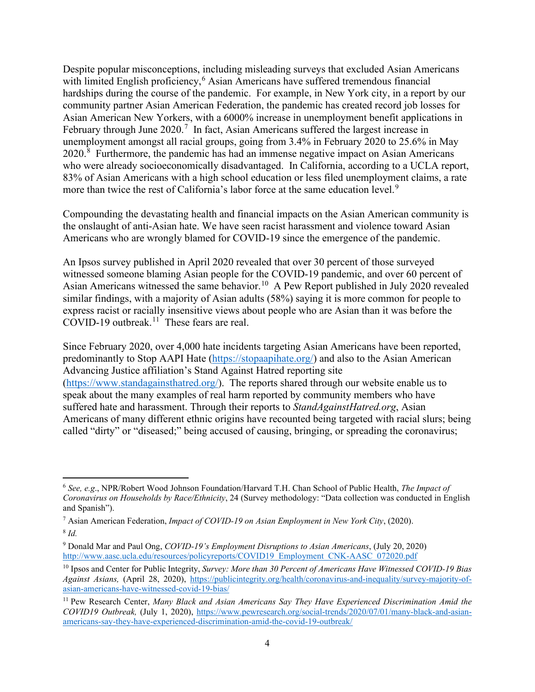Despite popular misconceptions, including misleading surveys that excluded Asian Americans with limited English proficiency,<sup>[6](#page-3-0)</sup> Asian Americans have suffered tremendous financial hardships during the course of the pandemic. For example, in New York city, in a report by our community partner Asian American Federation, the pandemic has created record job losses for Asian American New Yorkers, with a 6000% increase in unemployment benefit applications in February through June  $2020$ .<sup>[7](#page-3-1)</sup> In fact, Asian Americans suffered the largest increase in unemployment amongst all racial groups, going from 3.4% in February 2020 to 25.6% in May  $2020$ .<sup>[8](#page-3-2)</sup> Furthermore, the pandemic has had an immense negative impact on Asian Americans who were already socioeconomically disadvantaged. In California, according to a UCLA report, 83% of Asian Americans with a high school education or less filed unemployment claims, a rate more than twice the rest of California's labor force at the same education level.<sup>[9](#page-3-3)</sup>

Compounding the devastating health and financial impacts on the Asian American community is the onslaught of anti-Asian hate. We have seen racist harassment and violence toward Asian Americans who are wrongly blamed for COVID-19 since the emergence of the pandemic.

An Ipsos survey published in April 2020 revealed that over 30 percent of those surveyed witnessed someone blaming Asian people for the COVID-19 pandemic, and over 60 percent of Asian Americans witnessed the same behavior.<sup>[10](#page-3-4)</sup> A Pew Report published in July 2020 revealed similar findings, with a majority of Asian adults (58%) saying it is more common for people to express racist or racially insensitive views about people who are Asian than it was before the COVID-19 outbreak.<sup>11</sup> These fears are real.

Since February 2020, over 4,000 hate incidents targeting Asian Americans have been reported, predominantly to Stop AAPI Hate [\(https://stopaapihate.org/\)](https://stopaapihate.org/) and also to the Asian American Advancing Justice affiliation's Stand Against Hatred reporting site [\(https://www.standagainsthatred.org/\)](https://www.standagainsthatred.org/). The reports shared through our website enable us to speak about the many examples of real harm reported by community members who have suffered hate and harassment. Through their reports to *StandAgainstHatred.org*, Asian Americans of many different ethnic origins have recounted being targeted with racial slurs; being called "dirty" or "diseased;" being accused of causing, bringing, or spreading the coronavirus;

<span id="page-3-0"></span><sup>6</sup> *See, e.g*., NPR/Robert Wood Johnson Foundation/Harvard T.H. Chan School of Public Health, *The Impact of Coronavirus on Households by Race/Ethnicity*, 24 (Survey methodology: "Data collection was conducted in English and Spanish").

<span id="page-3-2"></span><span id="page-3-1"></span><sup>7</sup> Asian American Federation, *Impact of COVID-19 on Asian Employment in New York City*, (2020). <sup>8</sup> *Id.*

<span id="page-3-3"></span><sup>9</sup> Donald Mar and Paul Ong, *COVID-19's Employment Disruptions to Asian Americans*, (July 20, 2020) [http://www.aasc.ucla.edu/resources/policyreports/COVID19\\_Employment\\_CNK-AASC\\_072020.pdf](http://www.aasc.ucla.edu/resources/policyreports/COVID19_Employment_CNK-AASC_072020.pdf)

<span id="page-3-4"></span><sup>10</sup> Ipsos and Center for Public Integrity, *[Survey: More than 30 Percent of Americans Have Witnessed COVID-19 Bias](https://publicintegrity.org/health/coronavirus-and-inequality/survey-majority-of-asian-americans-have-witnessed-covid-19-bias/)  [Against Asians,](https://publicintegrity.org/health/coronavirus-and-inequality/survey-majority-of-asian-americans-have-witnessed-covid-19-bias/)* (April 28, 2020), [https://publicintegrity.org/health/coronavirus-and-inequality/survey-majority-of](https://publicintegrity.org/health/coronavirus-and-inequality/survey-majority-of-asian-americans-have-witnessed-covid-19-bias/)[asian-americans-have-witnessed-covid-19-bias/](https://publicintegrity.org/health/coronavirus-and-inequality/survey-majority-of-asian-americans-have-witnessed-covid-19-bias/)

<span id="page-3-5"></span><sup>11</sup> Pew Research Center, *[Many Black and Asian Americans Say They Have Experienced Discrimination Amid the](https://www.pewsocialtrends.org/2020/07/01/many-black-and-asian-americans-say-they-have-experienced-discrimination-amid-the-covid-19-outbreak/)  [COVID19 Outbreak,](https://www.pewsocialtrends.org/2020/07/01/many-black-and-asian-americans-say-they-have-experienced-discrimination-amid-the-covid-19-outbreak/)* (July 1, 2020), [https://www.pewresearch.org/social-trends/2020/07/01/many-black-and-asian](https://www.pewresearch.org/social-trends/2020/07/01/many-black-and-asian-americans-say-they-have-experienced-discrimination-amid-the-covid-19-outbreak/)[americans-say-they-have-experienced-discrimination-amid-the-covid-19-outbreak/](https://www.pewresearch.org/social-trends/2020/07/01/many-black-and-asian-americans-say-they-have-experienced-discrimination-amid-the-covid-19-outbreak/)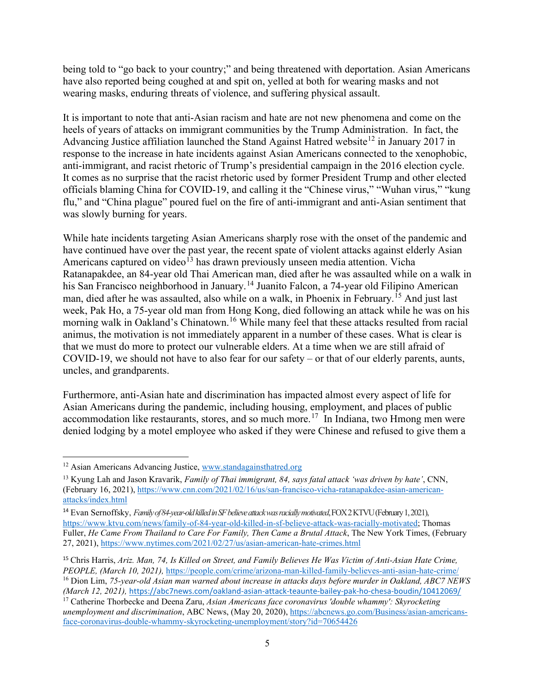being told to "go back to your country;" and being threatened with deportation. Asian Americans have also reported being coughed at and spit on, yelled at both for wearing masks and not wearing masks, enduring threats of violence, and suffering physical assault.

It is important to note that anti-Asian racism and hate are not new phenomena and come on the heels of years of attacks on immigrant communities by the Trump Administration. In fact, the Advancing Justice affiliation launched the Stand Against Hatred website<sup>[12](#page-4-0)</sup> in January 2017 in response to the increase in hate incidents against Asian Americans connected to the xenophobic, anti-immigrant, and racist rhetoric of Trump's presidential campaign in the 2016 election cycle. It comes as no surprise that the racist rhetoric used by former President Trump and other elected officials blaming China for COVID-19, and calling it the "Chinese virus," "Wuhan virus," "kung flu," and "China plague" poured fuel on the fire of anti-immigrant and anti-Asian sentiment that was slowly burning for years.

While hate incidents targeting Asian Americans sharply rose with the onset of the pandemic and have continued have over the past year, the recent spate of violent attacks against elderly Asian Americans captured on video<sup>[13](#page-4-1)</sup> has drawn previously unseen media attention. Vicha Ratanapakdee, an 84-year old Thai American man, died after he was assaulted while on a walk in his San Francisco neighborhood in January.<sup>[14](#page-4-2)</sup> Juanito Falcon, a 74-year old Filipino American man, died after he was assaulted, also while on a walk, in Phoenix in February.[15](#page-4-3) And just last week, Pak Ho, a 75-year old man from Hong Kong, died following an attack while he was on his morning walk in Oakland's Chinatown.<sup>[16](#page-4-4)</sup> While many feel that these attacks resulted from racial animus, the motivation is not immediately apparent in a number of these cases. What is clear is that we must do more to protect our vulnerable elders. At a time when we are still afraid of COVID-19, we should not have to also fear for our safety – or that of our elderly parents, aunts, uncles, and grandparents.

Furthermore, anti-Asian hate and discrimination has impacted almost every aspect of life for Asian Americans during the pandemic, including housing, employment, and places of public accommodation like restaurants, stores, and so much more.<sup>17</sup> In Indiana, two Hmong men were denied lodging by a motel employee who asked if they were Chinese and refused to give them a

<span id="page-4-4"></span>*(March 12, 2021),* <https://abc7news.com/oakland-asian-attack-teaunte-bailey-pak-ho-chesa-boudin/10412069/>

<span id="page-4-0"></span><sup>12</sup> Asian Americans Advancing Justice, [www.standagainsthatred.org](http://www.standagainsthatred.org/)

<span id="page-4-1"></span><sup>13</sup> Kyung Lah and Jason Kravarik, *Family of Thai immigrant, 84, says fatal attack 'was driven by hate'*, CNN, (February 16, 2021), [https://www.cnn.com/2021/02/16/us/san-francisco-vicha-ratanapakdee-asian-american](https://www.cnn.com/2021/02/16/us/san-francisco-vicha-ratanapakdee-asian-american-attacks/index.html)[attacks/index.html](https://www.cnn.com/2021/02/16/us/san-francisco-vicha-ratanapakdee-asian-american-attacks/index.html)

<span id="page-4-2"></span><sup>14</sup> Evan Sernoffsky, *Family of 84-year-old killed in SF believe attack was racially motivated*, FOX 2 KTVU (February 1, 2021), [https://www.ktvu.com/news/family-of-84-year-old-killed-in-sf-believe-attack-was-racially-motivated;](https://www.ktvu.com/news/family-of-84-year-old-killed-in-sf-believe-attack-was-racially-motivated) Thomas Fuller, *He Came From Thailand to Care For Family, Then Came a Brutal Attack*, The New York Times, (February 27, 2021),<https://www.nytimes.com/2021/02/27/us/asian-american-hate-crimes.html>

<span id="page-4-3"></span><sup>15</sup> Chris Harris, *Ariz. Man, 74, Is Killed on Street, and Family Believes He Was Victim of Anti-Asian Hate Crime, PEOPLE, (March 10, 2021),* <https://people.com/crime/arizona-man-killed-family-believes-anti-asian-hate-crime/> <sup>16</sup> Dion Lim, *75-year-old Asian man warned about increase in attacks days before murder in Oakland, ABC7 NEWS* 

<span id="page-4-5"></span><sup>17</sup> Catherine Thorbecke and Deena Zaru, *Asian Americans face coronavirus 'double whammy': Skyrocketing unemployment and discrimination*, ABC News, (May 20, 2020), [https://abcnews.go.com/Business/asian-americans](https://abcnews.go.com/Business/asian-americans-face-coronavirus-double-whammy-skyrocketing-unemployment/story?id=70654426)[face-coronavirus-double-whammy-skyrocketing-unemployment/story?id=70654426](https://abcnews.go.com/Business/asian-americans-face-coronavirus-double-whammy-skyrocketing-unemployment/story?id=70654426)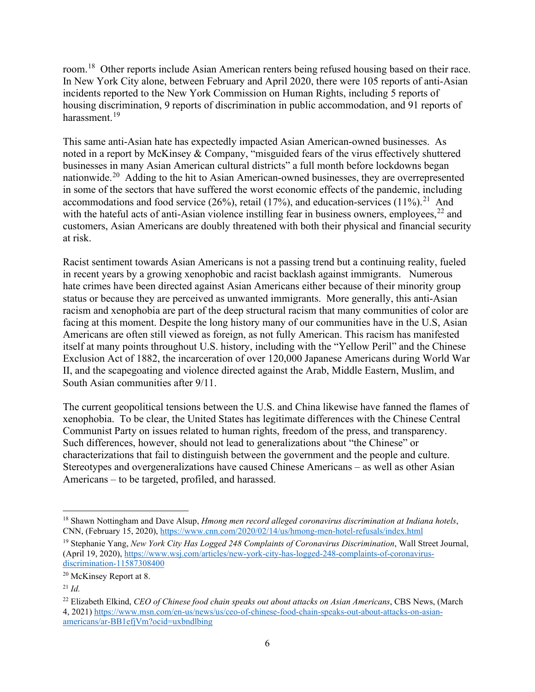room.[18](#page-5-0) Other reports include Asian American renters being refused housing based on their race. In New York City alone, between February and April 2020, there were 105 reports of anti-Asian incidents reported to the New York Commission on Human Rights, including 5 reports of housing discrimination, 9 reports of discrimination in public accommodation, and 91 reports of harassment.[19](#page-5-1)

This same anti-Asian hate has expectedly impacted Asian American-owned businesses. As noted in a report by McKinsey & Company, "misguided fears of the virus effectively shuttered businesses in many Asian American cultural districts" a full month before lockdowns began nationwide.[20](#page-5-2) Adding to the hit to Asian American-owned businesses, they are overrepresented in some of the sectors that have suffered the worst economic effects of the pandemic, including accommodations and food service (26%), retail (17%), and education-services (11%).<sup>[21](#page-5-3)</sup> And with the hateful acts of anti-Asian violence instilling fear in business owners, employees,<sup>[22](#page-5-4)</sup> and customers, Asian Americans are doubly threatened with both their physical and financial security at risk.

Racist sentiment towards Asian Americans is not a passing trend but a continuing reality, fueled in recent years by a growing xenophobic and racist backlash against immigrants. Numerous hate crimes have been directed against Asian Americans either because of their minority group status or because they are perceived as unwanted immigrants. More generally, this anti-Asian racism and xenophobia are part of the deep structural racism that many communities of color are facing at this moment. Despite the long history many of our communities have in the U.S, Asian Americans are often still viewed as foreign, as not fully American. This racism has manifested itself at many points throughout U.S. history, including with the "Yellow Peril" and the Chinese Exclusion Act of 1882, the incarceration of over 120,000 Japanese Americans during World War II, and the scapegoating and violence directed against the Arab, Middle Eastern, Muslim, and South Asian communities after 9/11.

The current geopolitical tensions between the U.S. and China likewise have fanned the flames of xenophobia. To be clear, the United States has legitimate differences with the Chinese Central Communist Party on issues related to human rights, freedom of the press, and transparency. Such differences, however, should not lead to generalizations about "the Chinese" or characterizations that fail to distinguish between the government and the people and culture. Stereotypes and overgeneralizations have caused Chinese Americans – as well as other Asian Americans – to be targeted, profiled, and harassed.

<span id="page-5-0"></span><sup>18</sup> Shawn Nottingham and Dave Alsup, *Hmong men record alleged coronavirus discrimination at Indiana hotels*, CNN, (February 15, 2020),<https://www.cnn.com/2020/02/14/us/hmong-men-hotel-refusals/index.html>

<span id="page-5-1"></span><sup>19</sup> Stephanie Yang, *New York City Has Logged 248 Complaints of Coronavirus Discrimination*, Wall Street Journal, (April 19, 2020), [https://www.wsj.com/articles/new-york-city-has-logged-248-complaints-of-coronavirus](https://www.wsj.com/articles/new-york-city-has-logged-248-complaints-of-coronavirus-discrimination-11587308400)[discrimination-11587308400](https://www.wsj.com/articles/new-york-city-has-logged-248-complaints-of-coronavirus-discrimination-11587308400)

<span id="page-5-2"></span><sup>&</sup>lt;sup>20</sup> McKinsey Report at 8.

<span id="page-5-3"></span><sup>21</sup> *Id.*

<span id="page-5-4"></span><sup>22</sup> Elizabeth Elkind, *CEO of Chinese food chain speaks out about attacks on Asian Americans*, CBS News, (March 4, 2021) [https://www.msn.com/en-us/news/us/ceo-of-chinese-food-chain-speaks-out-about-attacks-on-asian](https://www.msn.com/en-us/news/us/ceo-of-chinese-food-chain-speaks-out-about-attacks-on-asian-americans/ar-BB1efjVm?ocid=uxbndlbing)[americans/ar-BB1efjVm?ocid=uxbndlbing](https://www.msn.com/en-us/news/us/ceo-of-chinese-food-chain-speaks-out-about-attacks-on-asian-americans/ar-BB1efjVm?ocid=uxbndlbing)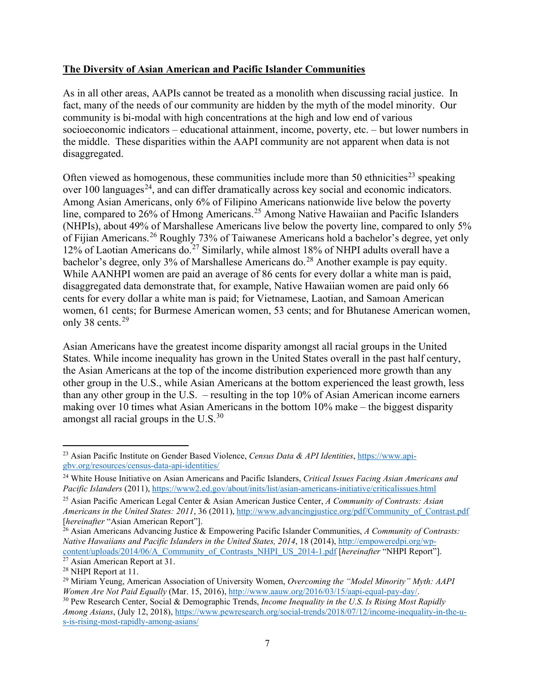## **The Diversity of Asian American and Pacific Islander Communities**

As in all other areas, AAPIs cannot be treated as a monolith when discussing racial justice. In fact, many of the needs of our community are hidden by the myth of the model minority. Our community is bi-modal with high concentrations at the high and low end of various socioeconomic indicators – educational attainment, income, poverty, etc. – but lower numbers in the middle. These disparities within the AAPI community are not apparent when data is not disaggregated.

Often viewed as homogenous, these communities include more than 50 ethnicities<sup>[23](#page-6-0)</sup> speaking over 100 languages<sup>[24](#page-6-1)</sup>, and can differ dramatically across key social and economic indicators. Among Asian Americans, only 6% of Filipino Americans nationwide live below the poverty line, compared to 26% of Hmong Americans.<sup>[25](#page-6-2)</sup> Among Native Hawaiian and Pacific Islanders (NHPIs), about 49% of Marshallese Americans live below the poverty line, compared to only 5% of Fijian Americans.[26](#page-6-3) Roughly 73% of Taiwanese Americans hold a bachelor's degree, yet only 12% of Laotian Americans do.<sup>[27](#page-6-4)</sup> Similarly, while almost 18% of NHPI adults overall have a bachelor's degree, only  $3\%$  of Marshallese Americans do.<sup>[28](#page-6-5)</sup> Another example is pay equity. While AANHPI women are paid an average of 86 cents for every dollar a white man is paid, disaggregated data demonstrate that, for example, Native Hawaiian women are paid only 66 cents for every dollar a white man is paid; for Vietnamese, Laotian, and Samoan American women, 61 cents; for Burmese American women, 53 cents; and for Bhutanese American women, only 38 cents.<sup>[29](#page-6-6)</sup>

Asian Americans have the greatest income disparity amongst all racial groups in the United States. While income inequality has grown in the United States overall in the past half century, the Asian Americans at the top of the income distribution experienced more growth than any other group in the U.S., while Asian Americans at the bottom experienced the least growth, less than any other group in the U.S. – resulting in the top 10% of Asian American income earners making over 10 times what Asian Americans in the bottom 10% make – the biggest disparity amongst all racial groups in the  $U.S.<sup>30</sup>$  $U.S.<sup>30</sup>$  $U.S.<sup>30</sup>$ 

<span id="page-6-0"></span><sup>23</sup> Asian Pacific Institute on Gender Based Violence, *Census Data & API Identities*, [https://www.api](https://www.api-gbv.org/resources/census-data-api-identities/)[gbv.org/resources/census-data-api-identities/](https://www.api-gbv.org/resources/census-data-api-identities/)

<span id="page-6-1"></span><sup>24</sup> White House Initiative on Asian Americans and Pacific Islanders, *Critical Issues Facing Asian Americans and Pacific Islanders* (2011),<https://www2.ed.gov/about/inits/list/asian-americans-initiative/criticalissues.html>

<span id="page-6-2"></span><sup>25</sup> Asian Pacific American Legal Center & Asian American Justice Center, *A Community of Contrasts: Asian Americans in the United States: 2011*, 36 (2011), [http://www.advancingjustice.org/pdf/Community\\_of\\_Contrast.pdf](http://www.advancingjustice.org/pdf/Community_of_Contrast.pdf) [*hereinafter* "Asian American Report"].

<span id="page-6-3"></span><sup>26</sup> Asian Americans Advancing Justice & Empowering Pacific Islander Communities, *A Community of Contrasts: Native Hawaiians and Pacific Islanders in the United States, 2014*, 18 (2014), [http://empoweredpi.org/wp](http://empoweredpi.org/wp-content/uploads/2014/06/A_Community_of_Contrasts_NHPI_US_2014-1.pdf)[content/uploads/2014/06/A\\_Community\\_of\\_Contrasts\\_NHPI\\_US\\_2014-1.pdf](http://empoweredpi.org/wp-content/uploads/2014/06/A_Community_of_Contrasts_NHPI_US_2014-1.pdf) [*hereinafter* "NHPI Report"].

<span id="page-6-4"></span><sup>&</sup>lt;sup>27</sup> Asian American Report at 31.

<span id="page-6-5"></span><sup>28</sup> NHPI Report at 11.

<span id="page-6-6"></span><sup>&</sup>lt;sup>29</sup> Miriam Yeung, American Association of University Women, *Overcoming the "Model Minority" Myth: AAPI Women Are Not Paid Equally (Mar. 15, 2016), http://www.aauw.org/2016/03/15/aapi-equal-pay-day/.* 

<span id="page-6-7"></span><sup>&</sup>lt;sup>30</sup> Pew Research Center, Social & Demographic Trends, *Income Inequality in the U.S. Is Rising Most Rapidly Among Asians*, (July 12, 2018), [https://www.pewresearch.org/social-trends/2018/07/12/income-inequality-in-the-u](https://www.pewresearch.org/social-trends/2018/07/12/income-inequality-in-the-u-s-is-rising-most-rapidly-among-asians/)[s-is-rising-most-rapidly-among-asians/](https://www.pewresearch.org/social-trends/2018/07/12/income-inequality-in-the-u-s-is-rising-most-rapidly-among-asians/)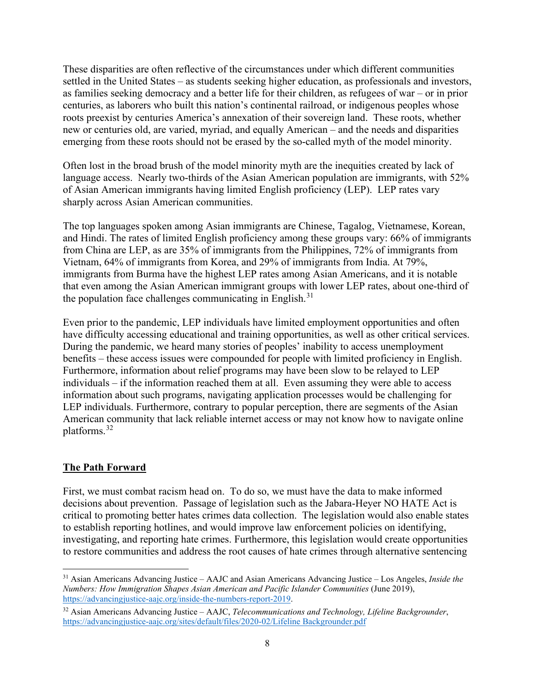These disparities are often reflective of the circumstances under which different communities settled in the United States – as students seeking higher education, as professionals and investors, as families seeking democracy and a better life for their children, as refugees of war – or in prior centuries, as laborers who built this nation's continental railroad, or indigenous peoples whose roots preexist by centuries America's annexation of their sovereign land. These roots, whether new or centuries old, are varied, myriad, and equally American – and the needs and disparities emerging from these roots should not be erased by the so-called myth of the model minority.

Often lost in the broad brush of the model minority myth are the inequities created by lack of language access. Nearly two-thirds of the Asian American population are immigrants, with 52% of Asian American immigrants having limited English proficiency (LEP). LEP rates vary sharply across Asian American communities.

The top languages spoken among Asian immigrants are Chinese, Tagalog, Vietnamese, Korean, and Hindi. The rates of limited English proficiency among these groups vary: 66% of immigrants from China are LEP, as are 35% of immigrants from the Philippines, 72% of immigrants from Vietnam, 64% of immigrants from Korea, and 29% of immigrants from India. At 79%, immigrants from Burma have the highest LEP rates among Asian Americans, and it is notable that even among the Asian American immigrant groups with lower LEP rates, about one-third of the population face challenges communicating in English. $31$ 

Even prior to the pandemic, LEP individuals have limited employment opportunities and often have difficulty accessing educational and training opportunities, as well as other critical services. During the pandemic, we heard many stories of peoples' inability to access unemployment benefits – these access issues were compounded for people with limited proficiency in English. Furthermore, information about relief programs may have been slow to be relayed to LEP individuals – if the information reached them at all. Even assuming they were able to access information about such programs, navigating application processes would be challenging for LEP individuals. Furthermore, contrary to popular perception, there are segments of the Asian American community that lack reliable internet access or may not know how to navigate online platforms.[32](#page-7-1)

## **The Path Forward**

First, we must combat racism head on. To do so, we must have the data to make informed decisions about prevention. Passage of legislation such as the Jabara-Heyer NO HATE Act is critical to promoting better hates crimes data collection. The legislation would also enable states to establish reporting hotlines, and would improve law enforcement policies on identifying, investigating, and reporting hate crimes. Furthermore, this legislation would create opportunities to restore communities and address the root causes of hate crimes through alternative sentencing

<span id="page-7-0"></span><sup>31</sup> Asian Americans Advancing Justice – AAJC and Asian Americans Advancing Justice – Los Angeles, *Inside the Numbers: How Immigration Shapes Asian American and Pacific Islander Communities* (June 2019), [https://advancingjustice-aajc.org/inside-the-numbers-report-2019.](https://advancingjustice-aajc.org/inside-the-numbers-report-2019)

<span id="page-7-1"></span><sup>32</sup> Asian Americans Advancing Justice – AAJC, *Telecommunications and Technology, Lifeline Backgrounder*, [https://advancingjustice-aajc.org/sites/default/files/2020-02/Lifeline Backgrounder.pdf](https://advancingjustice-aajc.org/sites/default/files/2020-02/Lifeline%20Backgrounder.pdf)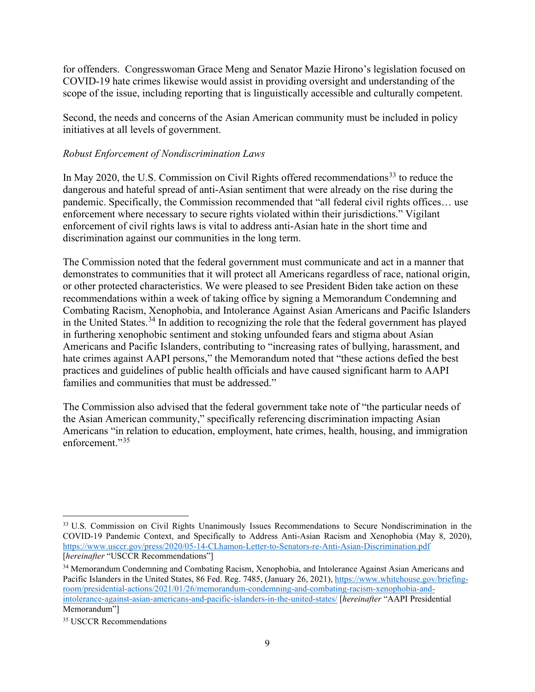for offenders. Congresswoman Grace Meng and Senator Mazie Hirono's legislation focused on COVID-19 hate crimes likewise would assist in providing oversight and understanding of the scope of the issue, including reporting that is linguistically accessible and culturally competent.

Second, the needs and concerns of the Asian American community must be included in policy initiatives at all levels of government.

# *Robust Enforcement of Nondiscrimination Laws*

In May 2020, the U.S. Commission on Civil Rights offered recommendations<sup>[33](#page-8-0)</sup> to reduce the dangerous and hateful spread of anti-Asian sentiment that were already on the rise during the pandemic. Specifically, the Commission recommended that "all federal civil rights offices… use enforcement where necessary to secure rights violated within their jurisdictions." Vigilant enforcement of civil rights laws is vital to address anti-Asian hate in the short time and discrimination against our communities in the long term.

The Commission noted that the federal government must communicate and act in a manner that demonstrates to communities that it will protect all Americans regardless of race, national origin, or other protected characteristics. We were pleased to see President Biden take action on these recommendations within a week of taking office by signing a Memorandum Condemning and Combating Racism, Xenophobia, and Intolerance Against Asian Americans and Pacific Islanders in the United States.<sup>[34](#page-8-1)</sup> In addition to recognizing the role that the federal government has played in furthering xenophobic sentiment and stoking unfounded fears and stigma about Asian Americans and Pacific Islanders, contributing to "increasing rates of bullying, harassment, and hate crimes against AAPI persons," the Memorandum noted that "these actions defied the best practices and guidelines of public health officials and have caused significant harm to AAPI families and communities that must be addressed."

The Commission also advised that the federal government take note of "the particular needs of the Asian American community," specifically referencing discrimination impacting Asian Americans "in relation to education, employment, hate crimes, health, housing, and immigration enforcement."<sup>[35](#page-8-2)</sup>

<span id="page-8-0"></span><sup>&</sup>lt;sup>33</sup> U.S. Commission on Civil Rights Unanimously Issues Recommendations to Secure Nondiscrimination in the COVID-19 Pandemic Context, and Specifically to Address Anti-Asian Racism and Xenophobia (May 8, 2020), <https://www.usccr.gov/press/2020/05-14-CLhamon-Letter-to-Senators-re-Anti-Asian-Discrimination.pdf> [*hereinafter* "USCCR Recommendations"]

<span id="page-8-1"></span><sup>&</sup>lt;sup>34</sup> Memorandum Condemning and Combating Racism, Xenophobia, and Intolerance Against Asian Americans and Pacific Islanders in the United States, 86 Fed. Reg. 7485, (January 26, 2021), [https://www.whitehouse.gov/briefing](https://www.whitehouse.gov/briefing-room/presidential-actions/2021/01/26/memorandum-condemning-and-combating-racism-xenophobia-and-intolerance-against-asian-americans-and-pacific-islanders-in-the-united-states/)[room/presidential-actions/2021/01/26/memorandum-condemning-and-combating-racism-xenophobia-and](https://www.whitehouse.gov/briefing-room/presidential-actions/2021/01/26/memorandum-condemning-and-combating-racism-xenophobia-and-intolerance-against-asian-americans-and-pacific-islanders-in-the-united-states/)[intolerance-against-asian-americans-and-pacific-islanders-in-the-united-states/](https://www.whitehouse.gov/briefing-room/presidential-actions/2021/01/26/memorandum-condemning-and-combating-racism-xenophobia-and-intolerance-against-asian-americans-and-pacific-islanders-in-the-united-states/) [*hereinafter* "AAPI Presidential Memorandum"]

<span id="page-8-2"></span><sup>&</sup>lt;sup>35</sup> USCCR Recommendations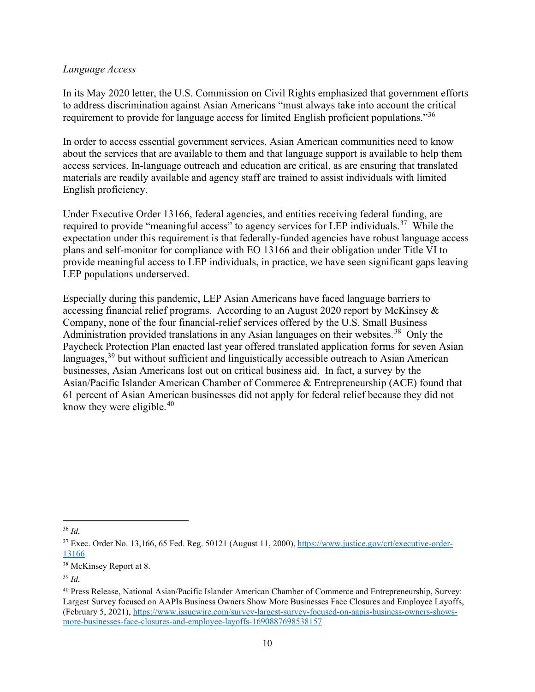#### *Language Access*

In its May 2020 letter, the U.S. Commission on Civil Rights emphasized that government efforts to address discrimination against Asian Americans "must always take into account the critical requirement to provide for language access for limited English proficient populations."[36](#page-9-0)

In order to access essential government services, Asian American communities need to know about the services that are available to them and that language support is available to help them access services. In-language outreach and education are critical, as are ensuring that translated materials are readily available and agency staff are trained to assist individuals with limited English proficiency.

Under Executive Order 13166, federal agencies, and entities receiving federal funding, are required to provide "meaningful access" to agency services for LEP individuals.<sup>[37](#page-9-1)</sup> While the expectation under this requirement is that federally-funded agencies have robust language access plans and self-monitor for compliance with EO 13166 and their obligation under Title VI to provide meaningful access to LEP individuals, in practice, we have seen significant gaps leaving LEP populations underserved.

Especially during this pandemic, LEP Asian Americans have faced language barriers to accessing financial relief programs. According to an August 2020 report by McKinsey & Company, none of the four financial-relief services offered by the U.S. Small Business Administration provided translations in any Asian languages on their websites.<sup>[38](#page-9-2)</sup> Only the Paycheck Protection Plan enacted last year offered translated application forms for seven Asian languages,  $39$  but without sufficient and linguistically accessible outreach to Asian American businesses, Asian Americans lost out on critical business aid. In fact, a survey by the Asian/Pacific Islander American Chamber of Commerce & Entrepreneurship (ACE) found that 61 percent of Asian American businesses did not apply for federal relief because they did not know they were eligible. $40$ 

<span id="page-9-0"></span><sup>36</sup> *Id.*

<span id="page-9-1"></span><sup>&</sup>lt;sup>37</sup> Exec. Order No. 13,166, 65 Fed. Reg. 50121 (August 11, 2000)[, https://www.justice.gov/crt/executive-order-](https://www.justice.gov/crt/executive-order-13166)[13166](https://www.justice.gov/crt/executive-order-13166)

<span id="page-9-2"></span><sup>&</sup>lt;sup>38</sup> McKinsey Report at 8.

<span id="page-9-3"></span><sup>39</sup> *Id.*

<span id="page-9-4"></span><sup>40</sup> Press Release, National Asian/Pacific Islander American Chamber of Commerce and Entrepreneurship, Survey: Largest Survey focused on AAPIs Business Owners Show More Businesses Face Closures and Employee Layoffs, (February 5, 2021), [https://www.issuewire.com/survey-largest-survey-focused-on-aapis-business-owners-shows](https://www.issuewire.com/survey-largest-survey-focused-on-aapis-business-owners-shows-more-businesses-face-closures-and-employee-layoffs-1690887698538157)[more-businesses-face-closures-and-employee-layoffs-1690887698538157](https://www.issuewire.com/survey-largest-survey-focused-on-aapis-business-owners-shows-more-businesses-face-closures-and-employee-layoffs-1690887698538157)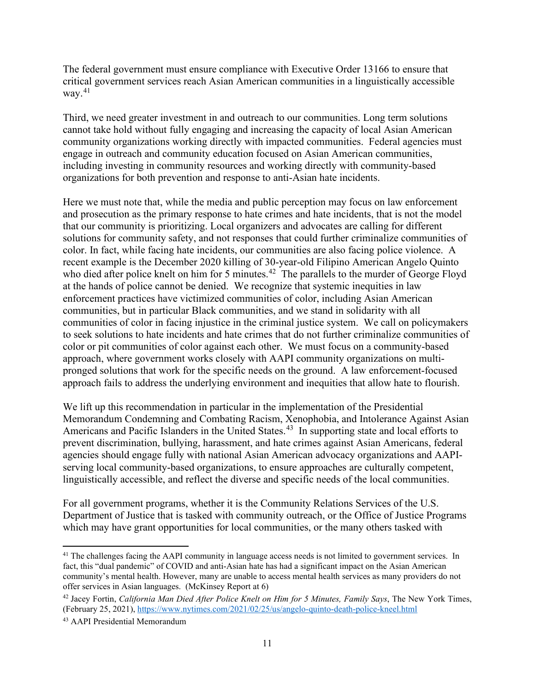The federal government must ensure compliance with Executive Order 13166 to ensure that critical government services reach Asian American communities in a linguistically accessible way. $41$ 

Third, we need greater investment in and outreach to our communities. Long term solutions cannot take hold without fully engaging and increasing the capacity of local Asian American community organizations working directly with impacted communities. Federal agencies must engage in outreach and community education focused on Asian American communities, including investing in community resources and working directly with community-based organizations for both prevention and response to anti-Asian hate incidents.

Here we must note that, while the media and public perception may focus on law enforcement and prosecution as the primary response to hate crimes and hate incidents, that is not the model that our community is prioritizing. Local organizers and advocates are calling for different solutions for community safety, and not responses that could further criminalize communities of color. In fact, while facing hate incidents, our communities are also facing police violence. A recent example is the December 2020 killing of 30-year-old Filipino American Angelo Quinto who died after police knelt on him for 5 minutes.<sup>42</sup> The parallels to the murder of George Floyd at the hands of police cannot be denied. We recognize that systemic inequities in law enforcement practices have victimized communities of color, including Asian American communities, but in particular Black communities, and we stand in solidarity with all communities of color in facing injustice in the criminal justice system. We call on policymakers to seek solutions to hate incidents and hate crimes that do not further criminalize communities of color or pit communities of color against each other. We must focus on a community-based approach, where government works closely with AAPI community organizations on multipronged solutions that work for the specific needs on the ground. A law enforcement-focused approach fails to address the underlying environment and inequities that allow hate to flourish.

We lift up this recommendation in particular in the implementation of the Presidential Memorandum Condemning and Combating Racism, Xenophobia, and Intolerance Against Asian Americans and Pacific Islanders in the United States.<sup>[43](#page-10-2)</sup> In supporting state and local efforts to prevent discrimination, bullying, harassment, and hate crimes against Asian Americans, federal agencies should engage fully with national Asian American advocacy organizations and AAPIserving local community-based organizations, to ensure approaches are culturally competent, linguistically accessible, and reflect the diverse and specific needs of the local communities.

For all government programs, whether it is the Community Relations Services of the U.S. Department of Justice that is tasked with community outreach, or the Office of Justice Programs which may have grant opportunities for local communities, or the many others tasked with

<span id="page-10-0"></span><sup>&</sup>lt;sup>41</sup> The challenges facing the AAPI community in language access needs is not limited to government services. In fact, this "dual pandemic" of COVID and anti-Asian hate has had a significant impact on the Asian American community's mental health. However, many are unable to access mental health services as many providers do not offer services in Asian languages. (McKinsey Report at 6)

<span id="page-10-1"></span><sup>42</sup> Jacey Fortin, *California Man Died After Police Knelt on Him for 5 Minutes, Family Says*, The New York Times, (February 25, 2021),<https://www.nytimes.com/2021/02/25/us/angelo-quinto-death-police-kneel.html>

<span id="page-10-2"></span><sup>43</sup> AAPI Presidential Memorandum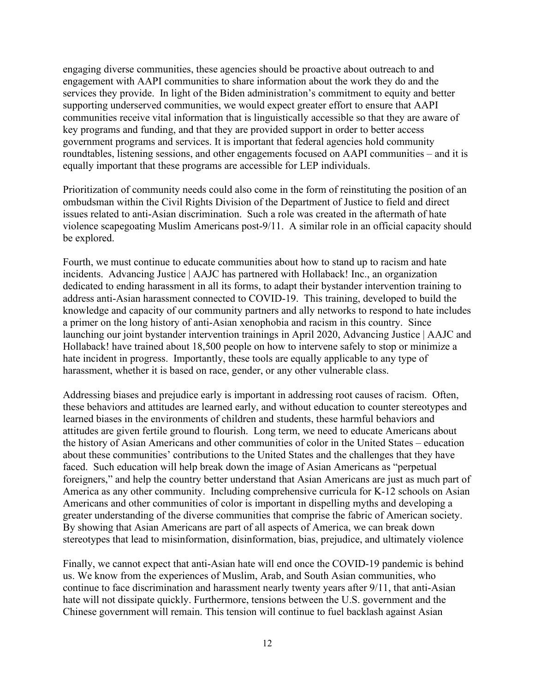engaging diverse communities, these agencies should be proactive about outreach to and engagement with AAPI communities to share information about the work they do and the services they provide. In light of the Biden administration's commitment to equity and better supporting underserved communities, we would expect greater effort to ensure that AAPI communities receive vital information that is linguistically accessible so that they are aware of key programs and funding, and that they are provided support in order to better access government programs and services. It is important that federal agencies hold community roundtables, listening sessions, and other engagements focused on AAPI communities – and it is equally important that these programs are accessible for LEP individuals.

Prioritization of community needs could also come in the form of reinstituting the position of an ombudsman within the Civil Rights Division of the Department of Justice to field and direct issues related to anti-Asian discrimination. Such a role was created in the aftermath of hate violence scapegoating Muslim Americans post-9/11. A similar role in an official capacity should be explored.

Fourth, we must continue to educate communities about how to stand up to racism and hate incidents. Advancing Justice | AAJC has partnered with Hollaback! Inc., an organization dedicated to ending harassment in all its forms, to adapt their bystander intervention training to address anti-Asian harassment connected to COVID-19. This training, developed to build the knowledge and capacity of our community partners and ally networks to respond to hate includes a primer on the long history of anti-Asian xenophobia and racism in this country. Since launching our joint bystander intervention trainings in April 2020, Advancing Justice | AAJC and Hollaback! have trained about 18,500 people on how to intervene safely to stop or minimize a hate incident in progress. Importantly, these tools are equally applicable to any type of harassment, whether it is based on race, gender, or any other vulnerable class.

Addressing biases and prejudice early is important in addressing root causes of racism. Often, these behaviors and attitudes are learned early, and without education to counter stereotypes and learned biases in the environments of children and students, these harmful behaviors and attitudes are given fertile ground to flourish. Long term, we need to educate Americans about the history of Asian Americans and other communities of color in the United States – education about these communities' contributions to the United States and the challenges that they have faced. Such education will help break down the image of Asian Americans as "perpetual foreigners," and help the country better understand that Asian Americans are just as much part of America as any other community. Including comprehensive curricula for K-12 schools on Asian Americans and other communities of color is important in dispelling myths and developing a greater understanding of the diverse communities that comprise the fabric of American society. By showing that Asian Americans are part of all aspects of America, we can break down stereotypes that lead to misinformation, disinformation, bias, prejudice, and ultimately violence

Finally, we cannot expect that anti-Asian hate will end once the COVID-19 pandemic is behind us. We know from the experiences of Muslim, Arab, and South Asian communities, who continue to face discrimination and harassment nearly twenty years after 9/11, that anti-Asian hate will not dissipate quickly. Furthermore, tensions between the U.S. government and the Chinese government will remain. This tension will continue to fuel backlash against Asian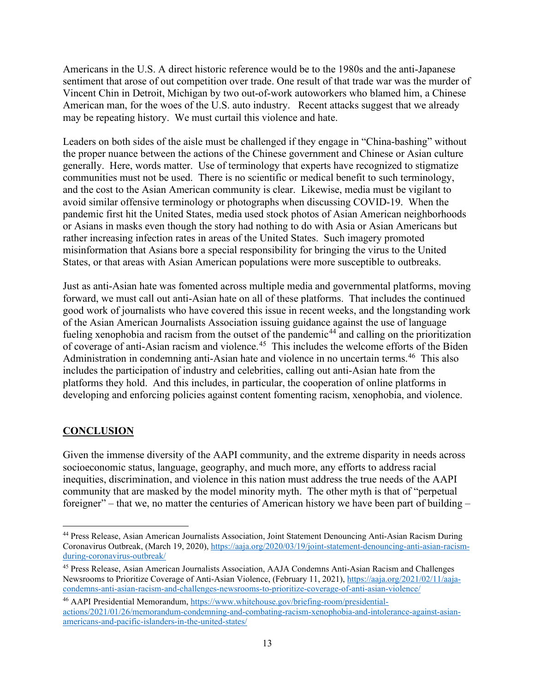Americans in the U.S. A direct historic reference would be to the 1980s and the anti-Japanese sentiment that arose of out competition over trade. One result of that trade war was the murder of Vincent Chin in Detroit, Michigan by two out-of-work autoworkers who blamed him, a Chinese American man, for the woes of the U.S. auto industry. Recent attacks suggest that we already may be repeating history. We must curtail this violence and hate.

Leaders on both sides of the aisle must be challenged if they engage in "China-bashing" without the proper nuance between the actions of the Chinese government and Chinese or Asian culture generally. Here, words matter. Use of terminology that experts have recognized to stigmatize communities must not be used. There is no scientific or medical benefit to such terminology, and the cost to the Asian American community is clear. Likewise, media must be vigilant to avoid similar offensive terminology or photographs when discussing COVID-19. When the pandemic first hit the United States, media used stock photos of Asian American neighborhoods or Asians in masks even though the story had nothing to do with Asia or Asian Americans but rather increasing infection rates in areas of the United States. Such imagery promoted misinformation that Asians bore a special responsibility for bringing the virus to the United States, or that areas with Asian American populations were more susceptible to outbreaks.

Just as anti-Asian hate was fomented across multiple media and governmental platforms, moving forward, we must call out anti-Asian hate on all of these platforms. That includes the continued good work of journalists who have covered this issue in recent weeks, and the longstanding work of the Asian American Journalists Association issuing guidance against the use of language fueling xenophobia and racism from the outset of the pandemic<sup>[44](#page-12-0)</sup> and calling on the prioritization of coverage of anti-Asian racism and violence.[45](#page-12-1) This includes the welcome efforts of the Biden Administration in condemning anti-Asian hate and violence in no uncertain terms.<sup>46</sup> This also includes the participation of industry and celebrities, calling out anti-Asian hate from the platforms they hold. And this includes, in particular, the cooperation of online platforms in developing and enforcing policies against content fomenting racism, xenophobia, and violence.

## **CONCLUSION**

Given the immense diversity of the AAPI community, and the extreme disparity in needs across socioeconomic status, language, geography, and much more, any efforts to address racial inequities, discrimination, and violence in this nation must address the true needs of the AAPI community that are masked by the model minority myth. The other myth is that of "perpetual foreigner" – that we, no matter the centuries of American history we have been part of building –

<span id="page-12-0"></span><sup>44</sup> Press Release, Asian American Journalists Association, Joint Statement Denouncing Anti-Asian Racism During Coronavirus Outbreak, (March 19, 2020)[, https://aaja.org/2020/03/19/joint-statement-denouncing-anti-asian-racism](https://aaja.org/2020/03/19/joint-statement-denouncing-anti-asian-racism-during-coronavirus-outbreak/)[during-coronavirus-outbreak/](https://aaja.org/2020/03/19/joint-statement-denouncing-anti-asian-racism-during-coronavirus-outbreak/)

<span id="page-12-1"></span><sup>45</sup> Press Release, Asian American Journalists Association, AAJA Condemns Anti-Asian Racism and Challenges Newsrooms to Prioritize Coverage of Anti-Asian Violence, (February 11, 2021), [https://aaja.org/2021/02/11/aaja](https://aaja.org/2021/02/11/aaja-condemns-anti-asian-racism-and-challenges-newsrooms-to-prioritize-coverage-of-anti-asian-violence/)[condemns-anti-asian-racism-and-challenges-newsrooms-to-prioritize-coverage-of-anti-asian-violence/](https://aaja.org/2021/02/11/aaja-condemns-anti-asian-racism-and-challenges-newsrooms-to-prioritize-coverage-of-anti-asian-violence/)

<span id="page-12-2"></span><sup>46</sup> AAPI Presidential Memorandum, [https://www.whitehouse.gov/briefing-room/presidential](https://www.whitehouse.gov/briefing-room/presidential-actions/2021/01/26/memorandum-condemning-and-combating-racism-xenophobia-and-intolerance-against-asian-americans-and-pacific-islanders-in-the-united-states/)[actions/2021/01/26/memorandum-condemning-and-combating-racism-xenophobia-and-intolerance-against-asian](https://www.whitehouse.gov/briefing-room/presidential-actions/2021/01/26/memorandum-condemning-and-combating-racism-xenophobia-and-intolerance-against-asian-americans-and-pacific-islanders-in-the-united-states/)[americans-and-pacific-islanders-in-the-united-states/](https://www.whitehouse.gov/briefing-room/presidential-actions/2021/01/26/memorandum-condemning-and-combating-racism-xenophobia-and-intolerance-against-asian-americans-and-pacific-islanders-in-the-united-states/)